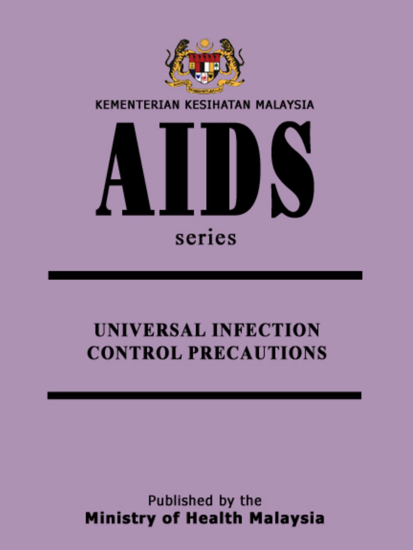

# **UNIVERSAL INFECTION CONTROL PRECAUTIONS**

Published by the **Ministry of Health Malaysia**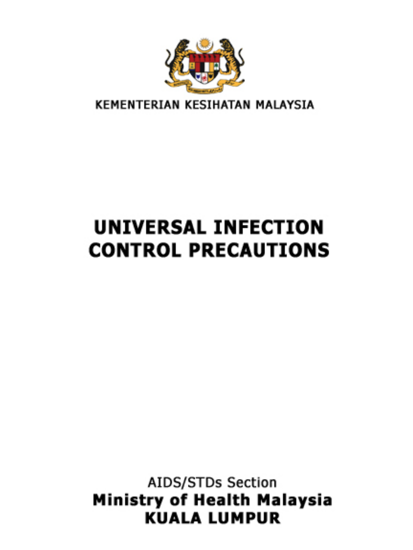

KEMENTERIAN KESIHATAN MALAYSIA

# UNIVERSAL INFECTION **CONTROL PRECAUTIONS**

AIDS/STDs Section Ministry of Health Malaysia **KUALA LUMPUR**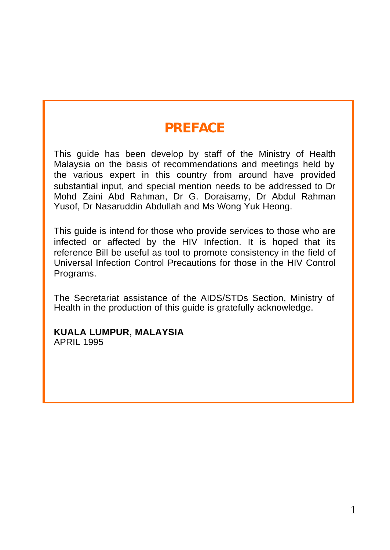# **PREFACE**

This guide has been develop by staff of the Ministry of Health Malaysia on the basis of recommendations and meetings held by the various expert in this country from around have provided substantial input, and special mention needs to be addressed to Dr Mohd Zaini Abd Rahman, Dr G. Doraisamy, Dr Abdul Rahman Yusof, Dr Nasaruddin Abdullah and Ms Wong Yuk Heong.

This guide is intend for those who provide services to those who are infected or affected by the HIV Infection. It is hoped that its reference Bill be useful as tool to promote consistency in the field of Universal Infection Control Precautions for those in the HIV Control Programs.

The Secretariat assistance of the AIDS/STDs Section, Ministry of Health in the production of this guide is gratefully acknowledge.

#### **KUALA LUMPUR, MALAYSIA** APRIL 1995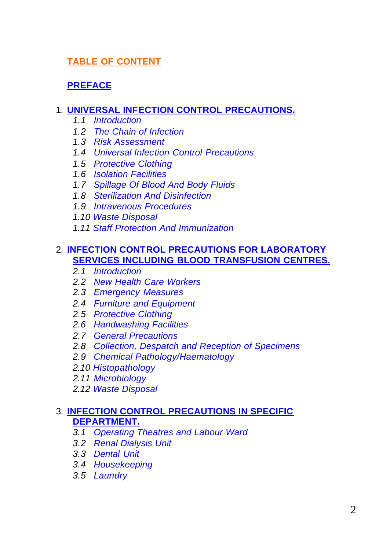## **TABLE OF CONTENT**

## **PREFACE**

#### 1. **UNIVERSAL INFECTION CONTROL PRECAUTIONS.**

- *1.1 Introduction*
- *1.2 The Chain of Infection*
- *1.3 Risk Assessment*
- *1.4 Universal Infection Control Precautions*
- *1.5 Protective Clothing*
- *1.6 Isolation Facilities*
- *1.7 Spillage Of Blood And Body Fluids*
- *1.8 Sterilization And Disinfection*
- *1.9 Intravenous Procedures*
- *1.10 Waste Disposal*
- *1.11 Staff Protection And Immunization*

#### 2. **INFECTION CONTROL PRECAUTIONS FOR LABORATORY SERVICES INCLUDING BLOOD TRANSFUSION CENTRES.**

- *2.1 Introduction*
- *2.2 New Health Care Workers*
- *2.3 Emergency Measures*
- *2.4 Furniture and Equipment*
- *2.5 Protective Clothing*
- *2.6 Handwashing Facilities*
- *2.7 General Precautions*
- *2.8 Collection, Despatch and Reception of Specimens*
- *2.9 Chemical Pathology/Haematology*
- *2.10 Histopathology*
- *2.11 Microbiology*
- *2.12 Waste Disposal*

#### 3. **INFECTION CONTROL PRECAUTIONS IN SPECIFIC DEPARTMENT.**

- *3.1 Operating Theatres and Labour Ward*
- *3.2 Renal Dialysis Unit*
- *3.3 Dental Unit*
- *3.4 Housekeeping*
- *3.5 Laundry*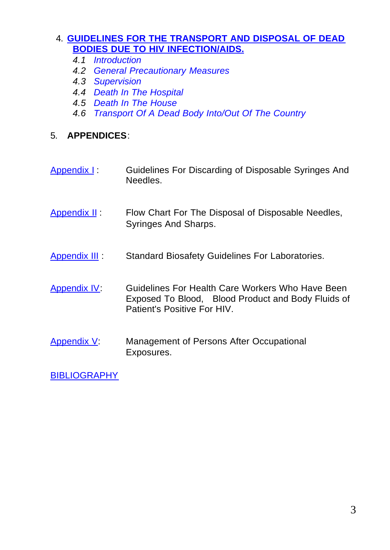#### 4. **GUIDELINES FOR THE TRANSPORT AND DISPOSAL OF DEAD BODIES DUE TO HIV INFECTION/AIDS.**

- *4.1 Introduction*
- *4.2 General Precautionary Measures*
- *4.3 Supervision*
- *4.4 Death In The Hospital*
- *4.5 Death In The House*
- *4.6 Transport Of A Dead Body Into/Out Of The Country*

#### 5. **APPENDICES**:

- Appendix I: Guidelines For Discarding of Disposable Syringes And Needles.
- Appendix II : Flow Chart For The Disposal of Disposable Needles, Syringes And Sharps.
- **Appendix III** : Standard Biosafety Guidelines For Laboratories.
- Appendix IV: Guidelines For Health Care Workers Who Have Been Exposed To Blood, Blood Product and Body Fluids of Patient's Positive For HIV.
- Appendix V: Management of Persons After Occupational Exposures.

**BIBLIOGRAPHY**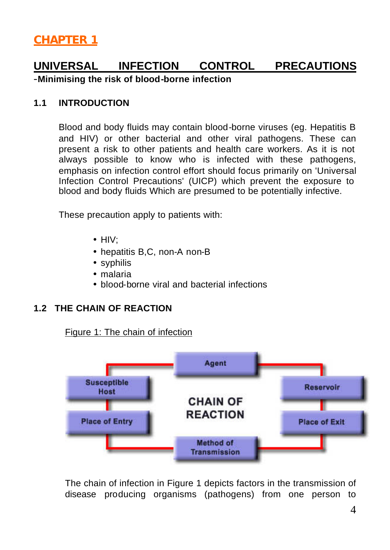# **UNIVERSAL INFECTION CONTROL PRECAUTIONS**

-**Minimising the risk of blood-borne infection**

#### **1.1 INTRODUCTION**

Blood and body fluids may contain blood-borne viruses (eg. Hepatitis B and HIV) or other bacterial and other viral pathogens. These can present a risk to other patients and health care workers. As it is not always possible to know who is infected with these pathogens, emphasis on infection control effort should focus primarily on 'Universal Infection Control Precautions' (UICP) which prevent the exposure to blood and body fluids Which are presumed to be potentially infective.

These precaution apply to patients with:

- HIV;
- hepatitis B,C, non-A non-B
- syphilis
- malaria
- blood-borne viral and bacterial infections

#### **1.2 THE CHAIN OF REACTION**

Figure 1: The chain of infection



The chain of infection in Figure 1 depicts factors in the transmission of disease producing organisms (pathogens) from one person to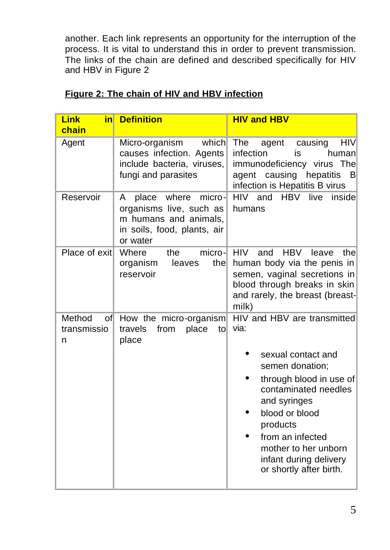another. Each link represents an opportunity for the interruption of the process. It is vital to understand this in order to prevent transmission. The links of the chain are defined and described specifically for HIV and HBV in Figure 2

| <b>Link</b><br>inl<br>chain      | <b>Definition</b>                                                                                                            | <b>HIV and HBV</b>                                                                                                                                                                                                                                                             |
|----------------------------------|------------------------------------------------------------------------------------------------------------------------------|--------------------------------------------------------------------------------------------------------------------------------------------------------------------------------------------------------------------------------------------------------------------------------|
| Agent                            | which<br>Micro-organism<br>causes infection. Agents<br>include bacteria, viruses,<br>fungi and parasites                     | The<br><b>HIV</b><br>agent<br>causing<br>infection<br>is<br>human<br>immunodeficiency virus The<br>agent causing hepatitis<br>B<br>infection is Hepatitis B virus                                                                                                              |
| Reservoir                        | micro-<br>where<br>A<br>place<br>organisms live, such as<br>m humans and animals,<br>in soils, food, plants, air<br>or water | and<br>HBV<br>live<br>HIV -<br>insidel<br>humans                                                                                                                                                                                                                               |
| Place of exit                    | Where<br>micro-<br>the<br>thel<br>organism<br>leaves<br>reservoir                                                            | <b>HIV</b><br><b>HBV</b><br>and<br>thel<br>leave<br>human body via the penis in<br>semen, vaginal secretions in<br>blood through breaks in skin<br>and rarely, the breast (breast-<br>milk)                                                                                    |
| Method<br>of<br>transmissio<br>n | How the micro-organism<br>travels<br>from<br>place<br>tol<br>place                                                           | HIV and HBV are transmitted<br>via:<br>sexual contact and<br>semen donation;<br>through blood in use of<br>contaminated needles<br>and syringes<br>blood or blood<br>products<br>from an infected<br>mother to her unborn<br>infant during delivery<br>or shortly after birth. |

## **Figure 2: The chain of HIV and HBV infection**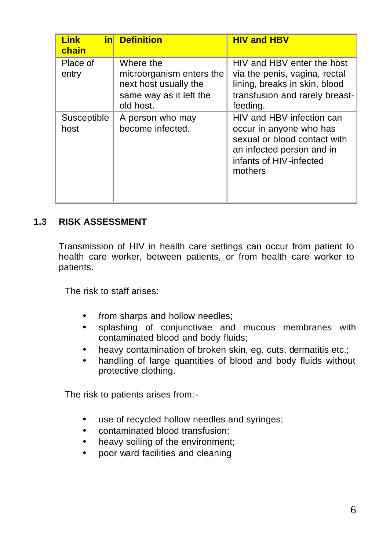| <b>Link</b><br>chain | in Definition                                                                                          | <b>HIV and HBV</b>                                                                                                                                      |
|----------------------|--------------------------------------------------------------------------------------------------------|---------------------------------------------------------------------------------------------------------------------------------------------------------|
| Place of<br>entry    | Where the<br>microorganism enters the<br>next host usually the<br>same way as it left the<br>old host. | HIV and HBV enter the host<br>via the penis, vagina, rectal<br>lining, breaks in skin, blood<br>transfusion and rarely breast-<br>feeding.              |
| Susceptible<br>host  | A person who may<br>become infected.                                                                   | HIV and HBV infection can<br>occur in anyone who has<br>sexual or blood contact with<br>an infected person and in<br>infants of HIV-infected<br>mothers |

#### **1.3 RISK ASSESSMENT**

Transmission of HIV in health care settings can occur from patient to health care worker, between patients, or from health care worker to patients.

The risk to staff arises:

- from sharps and hollow needles;
- splashing of conjunctivae and mucous membranes with contaminated blood and body fluids;
- heavy contamination of broken skin, eg. cuts, dermatitis etc.;
- handling of large quantities of blood and body fluids without protective clothing.

The risk to patients arises from:-

- use of recycled hollow needles and syringes;
- contaminated blood transfusion;
- heavy soiling of the environment;
- poor ward facilities and cleaning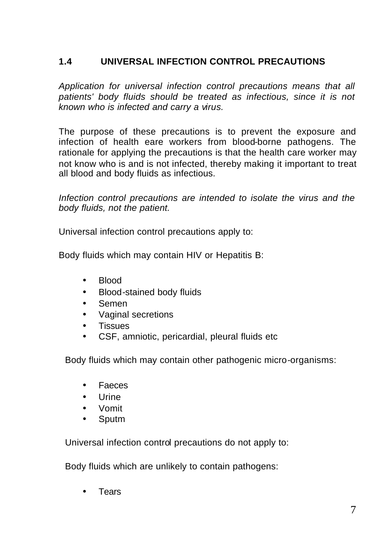## **1.4 UNIVERSAL INFECTION CONTROL PRECAUTIONS**

*Application for universal infection control precautions means that all patients' body fluids should be treated as infectious, since it is not known who is infected and carry a virus.*

The purpose of these precautions is to prevent the exposure and infection of health eare workers from blood-borne pathogens. The rationale for applying the precautions is that the health care worker may not know who is and is not infected, thereby making it important to treat all blood and body fluids as infectious.

*Infection control precautions are intended to isolate the virus and the body fluids, not the patient.*

Universal infection control precautions apply to:

Body fluids which may contain HIV or Hepatitis B:

- Blood
- Blood-stained body fluids
- Semen
- Vaginal secretions
- Tissues
- CSF, amniotic, pericardial, pleural fluids etc

Body fluids which may contain other pathogenic micro-organisms:

- Faeces
- Urine
- Vomit
- Sputm

Universal infection control precautions do not apply to:

Body fluids which are unlikely to contain pathogens:

• Tears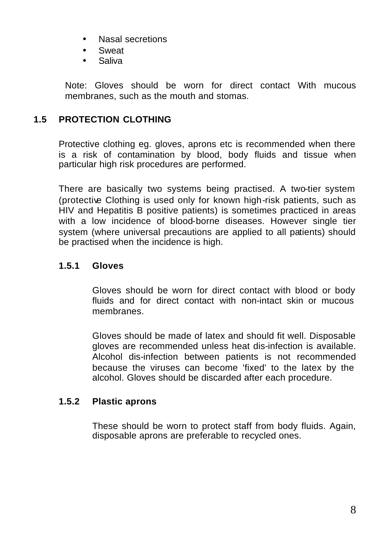- Nasal secretions
- Sweat
- Saliva

Note: Gloves should be worn for direct contact With mucous membranes, such as the mouth and stomas.

### **1.5 PROTECTION CLOTHING**

Protective clothing eg. gloves, aprons etc is recommended when there is a risk of contamination by blood, body fluids and tissue when particular high risk procedures are performed.

There are basically two systems being practised. A two-tier system (protective Clothing is used only for known high-risk patients, such as HIV and Hepatitis B positive patients) is sometimes practiced in areas with a low incidence of blood-borne diseases. However single tier system (where universal precautions are applied to all patients) should be practised when the incidence is high.

#### **1.5.1 Gloves**

Gloves should be worn for direct contact with blood or body fluids and for direct contact with non-intact skin or mucous membranes.

Gloves should be made of latex and should fit well. Disposable gloves are recommended unless heat dis-infection is available. Alcohol dis-infection between patients is not recommended because the viruses can become 'fixed' to the latex by the alcohol. Gloves should be discarded after each procedure.

#### **1.5.2 Plastic aprons**

These should be worn to protect staff from body fluids. Again, disposable aprons are preferable to recycled ones.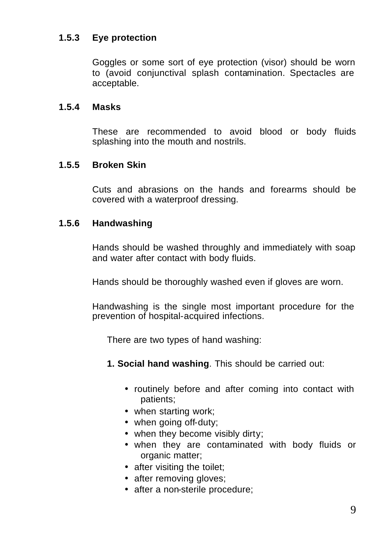#### **1.5.3 Eye protection**

Goggles or some sort of eye protection (visor) should be worn to (avoid conjunctival splash contamination. Spectacles are acceptable.

#### **1.5.4 Masks**

These are recommended to avoid blood or body fluids splashing into the mouth and nostrils.

#### **1.5.5 Broken Skin**

Cuts and abrasions on the hands and forearms should be covered with a waterproof dressing.

#### **1.5.6 Handwashing**

Hands should be washed throughly and immediately with soap and water after contact with body fluids.

Hands should be thoroughly washed even if gloves are worn.

Handwashing is the single most important procedure for the prevention of hospital-acquired infections.

There are two types of hand washing:

- **1. Social hand washing**. This should be carried out:
	- routinely before and after coming into contact with patients;
	- when starting work;
	- when going off-duty;
	- when they become visibly dirty;
	- when they are contaminated with body fluids or organic matter;
	- after visiting the toilet;
	- after removing gloves;
	- after a non-sterile procedure: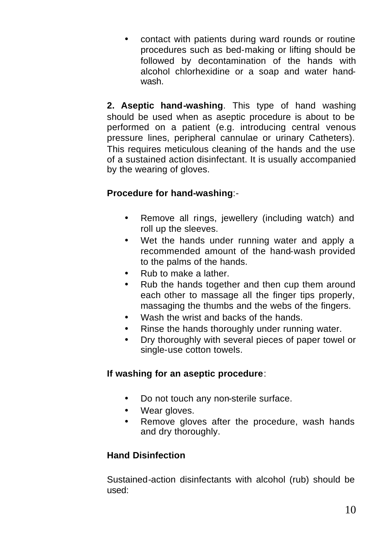• contact with patients during ward rounds or routine procedures such as bed-making or lifting should be followed by decontamination of the hands with alcohol chlorhexidine or a soap and water handwash.

**2. Aseptic hand-washing**. This type of hand washing should be used when as aseptic procedure is about to be performed on a patient (e.g. introducing central venous pressure lines, peripheral cannulae or urinary Catheters). This requires meticulous cleaning of the hands and the use of a sustained action disinfectant. It is usually accompanied by the wearing of gloves.

## **Procedure for hand-washing**:-

- Remove all rings, jewellery (including watch) and roll up the sleeves.
- Wet the hands under running water and apply a recommended amount of the hand-wash provided to the palms of the hands.
- Rub to make a lather.
- Rub the hands together and then cup them around each other to massage all the finger tips properly, massaging the thumbs and the webs of the fingers.
- Wash the wrist and backs of the hands.
- Rinse the hands thoroughly under running water.
- Dry thoroughly with several pieces of paper towel or single-use cotton towels.

#### **If washing for an aseptic procedure**:

- Do not touch any non-sterile surface.
- Wear gloves.
- Remove gloves after the procedure, wash hands and dry thoroughly.

## **Hand Disinfection**

Sustained-action disinfectants with alcohol (rub) should be used: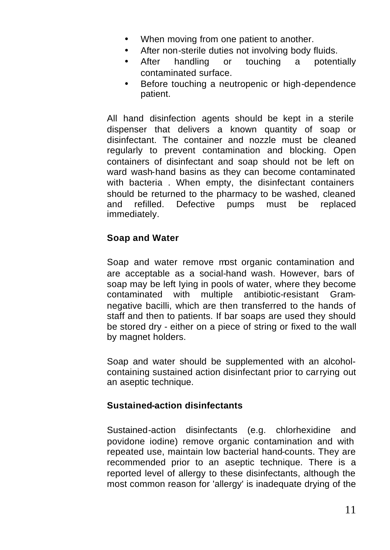- When moving from one patient to another.
- After non-sterile duties not involving body fluids.
- After handling or touching a potentially contaminated surface.
- Before touching a neutropenic or high-dependence patient.

All hand disinfection agents should be kept in a sterile dispenser that delivers a known quantity of soap or disinfectant. The container and nozzle must be cleaned regularly to prevent contamination and blocking. Open containers of disinfectant and soap should not be left on ward wash-hand basins as they can become contaminated with bacteria . When empty, the disinfectant containers should be returned to the pharmacy to be washed, cleaned and refilled. Defective pumps must be replaced immediately.

#### **Soap and Water**

Soap and water remove most organic contamination and are acceptable as a social-hand wash. However, bars of soap may be left Iying in pools of water, where they become contaminated with multiple antibiotic-resistant Gramnegative bacilli, which are then transferred to the hands of staff and then to patients. If bar soaps are used they should be stored dry - either on a piece of string or fixed to the wall by magnet holders.

Soap and water should be supplemented with an alcoholcontaining sustained action disinfectant prior to carrying out an aseptic technique.

#### **Sustained-action disinfectants**

Sustained-action disinfectants (e.g. chlorhexidine and povidone iodine) remove organic contamination and with repeated use, maintain low bacterial hand-counts. They are recommended prior to an aseptic technique. There is a reported level of allergy to these disinfectants, although the most common reason for 'allergy' is inadequate drying of the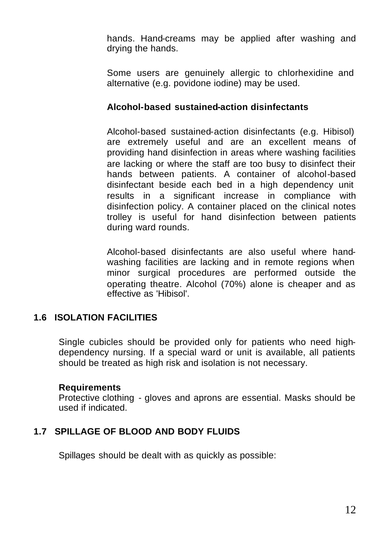hands. Hand-creams may be applied after washing and drying the hands.

Some users are genuinely allergic to chlorhexidine and alternative (e.g. povidone iodine) may be used.

#### **Alcohol-based sustained-action disinfectants**

Alcohol-based sustained-action disinfectants (e.g. Hibisol) are extremely useful and are an excellent means of providing hand disinfection in areas where washing facilities are lacking or where the staff are too busy to disinfect their hands between patients. A container of alcohol-based disinfectant beside each bed in a high dependency unit results in a significant increase in compliance with disinfection policy. A container placed on the clinical notes trolley is useful for hand disinfection between patients during ward rounds.

Alcohol-based disinfectants are also useful where handwashing facilities are lacking and in remote regions when minor surgical procedures are performed outside the operating theatre. Alcohol (70%) alone is cheaper and as effective as 'Hibisol'.

#### **1.6 ISOLATION FACILITIES**

Single cubicles should be provided only for patients who need highdependency nursing. If a special ward or unit is available, all patients should be treated as high risk and isolation is not necessary.

#### **Requirements**

Protective clothing - gloves and aprons are essential. Masks should be used if indicated.

#### **1.7 SPILLAGE OF BLOOD AND BODY FLUIDS**

Spillages should be dealt with as quickly as possible: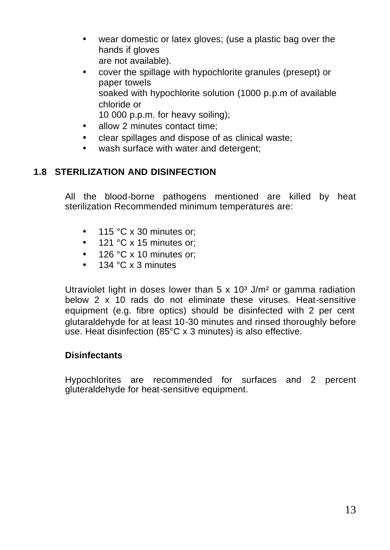- wear domestic or latex gloves; (use a plastic bag over the hands if gloves are not available).
- cover the spillage with hypochlorite granules (presept) or paper towels soaked with hypochlorite solution (1000 p.p.m of available chloride or 10 000 p.p.m. for heavy soiling);
- allow 2 minutes contact time;
- clear spillages and dispose of as clinical waste;
- wash surface with water and detergent;

#### **1.8 STERILIZATION AND DISINFECTION**

All the blood-borne pathogens mentioned are killed by heat sterilization Recommended minimum temperatures are:

- 115 °C x 30 minutes or:
- 121 °C x 15 minutes or:
- 126 °C x 10 minutes or:
- 134 °C x 3 minutes

Utraviolet light in doses lower than  $5 \times 10<sup>3</sup>$  J/m<sup>2</sup> or gamma radiation below 2 x 10 rads do not eliminate these viruses. Heat-sensitive equipment (e.g. fibre optics) should be disinfected with 2 per cent glutaraldehyde for at least 10-30 minutes and rinsed thoroughly before use. Heat disinfection (85°C x 3 minutes) is also effective.

#### **Disinfectants**

Hypochlorites are recommended for surfaces and 2 percent gluteraldehyde for heat-sensitive equipment.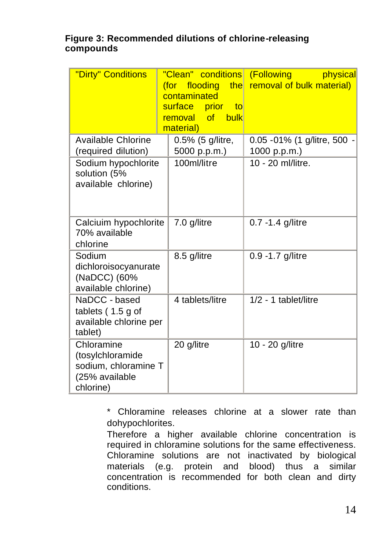#### **Figure 3: Recommended dilutions of chlorine-releasing compounds**

| "Dirty" Conditions                                                                    | "Clean" conditions (Following<br>flooding the<br>(for<br>contaminated<br>surface prior<br>to<br>removal of<br>bulk<br>material) | physical<br>removal of bulk material)              |
|---------------------------------------------------------------------------------------|---------------------------------------------------------------------------------------------------------------------------------|----------------------------------------------------|
| <b>Available Chlorine</b><br>(required dilution)                                      | 0.5% (5 g/litre,<br>5000 p.p.m.)                                                                                                | 0.05 - 01% (1 g/litre, 500 $\cdot$<br>1000 p.p.m.) |
| Sodium hypochlorite<br>solution (5%<br>available chlorine)                            | 100ml/litre                                                                                                                     | 10 - 20 ml/litre.                                  |
| Calciuim hypochlorite<br>70% available<br>chlorine                                    | 7.0 g/litre                                                                                                                     | 0.7 -1.4 g/litre                                   |
| Sodium<br>dichloroisocyanurate<br>(NaDCC) (60%<br>available chlorine)                 | 8.5 g/litre                                                                                                                     | 0.9 -1.7 g/litre                                   |
| NaDCC - based<br>tablets (1.5 g of<br>available chlorine per<br>tablet)               | 4 tablets/litre                                                                                                                 | 1/2 - 1 tablet/litre                               |
| Chloramine<br>(tosylchloramide<br>sodium, chloramine T<br>(25% available<br>chlorine) | 20 g/litre                                                                                                                      | 10 - 20 g/litre                                    |

\* Chloramine releases chlorine at a slower rate than dohypochlorites.

Therefore a higher available chlorine concentration is required in chloramine solutions for the same effectiveness. Chloramine solutions are not inactivated by biological materials (e.g. protein and blood) thus a similar concentration is recommended for both clean and dirty conditions.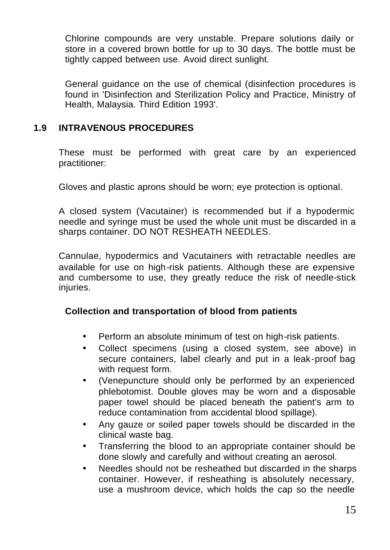Chlorine compounds are very unstable. Prepare solutions daily or store in a covered brown bottle for up to 30 days. The bottle must be tightly capped between use. Avoid direct sunlight.

General guidance on the use of chemical (disinfection procedures is found in 'Disinfection and Sterilization Policy and Practice, Ministry of Health, Malaysia. Third Edition 1993'.

#### **1.9 INTRAVENOUS PROCEDURES**

These must be performed with great care by an experienced practitioner:

Gloves and plastic aprons should be worn; eye protection is optional.

A closed system (Vacutainer) is recommended but if a hypodermic needle and syringe must be used the whole unit must be discarded in a sharps container. DO NOT RESHEATH NEEDLES.

Cannulae, hypodermics and Vacutainers with retractable needles are available for use on high-risk patients. Although these are expensive and cumbersome to use, they greatly reduce the risk of needle-stick injuries.

#### **Collection and transportation of blood from patients**

- Perform an absolute minimum of test on high-risk patients.
- Collect specimens (using a closed system, see above) in secure containers, label clearly and put in a leak-proof bag with request form.
- (Venepuncture should only be performed by an experienced phlebotomist. Double gloves may be worn and a disposable paper towel should be placed beneath the patient's arm to reduce contamination from accidental blood spillage).
- Any gauze or soiled paper towels should be discarded in the clinical waste bag.
- Transferring the blood to an appropriate container should be done slowly and carefully and without creating an aerosol.
- Needles should not be resheathed but discarded in the sharps container. However, if resheathing is absolutely necessary, use a mushroom device, which holds the cap so the needle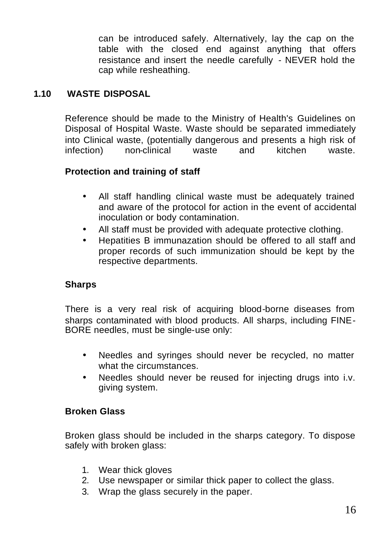can be introduced safely. Alternatively, lay the cap on the table with the closed end against anything that offers resistance and insert the needle carefully - NEVER hold the cap while resheathing.

#### **1.10 WASTE DISPOSAL**

Reference should be made to the Ministry of Health's Guidelines on Disposal of Hospital Waste. Waste should be separated immediately into Clinical waste, (potentially dangerous and presents a high risk of infection) non-clinical waste and kitchen waste.

#### **Protection and training of staff**

- All staff handling clinical waste must be adequately trained and aware of the protocol for action in the event of accidental inoculation or body contamination.
- All staff must be provided with adequate protective clothing.
- Hepatities B immunazation should be offered to all staff and proper records of such immunization should be kept by the respective departments.

#### **Sharps**

There is a very real risk of acquiring blood-borne diseases from sharps contaminated with blood products. All sharps, including FINE-BORE needles, must be single-use only:

- Needles and syringes should never be recycled, no matter what the circumstances.
- Needles should never be reused for injecting drugs into i.v. giving system.

#### **Broken Glass**

Broken glass should be included in the sharps category. To dispose safely with broken glass:

- 1. Wear thick gloves
- 2. Use newspaper or similar thick paper to collect the glass.
- 3. Wrap the glass securely in the paper.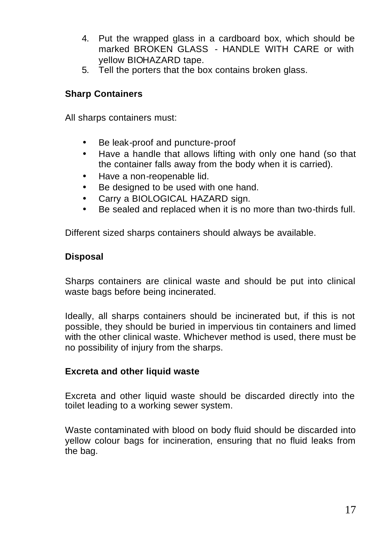- 4. Put the wrapped glass in a cardboard box, which should be marked BROKEN GLASS - HANDLE WITH CARE or with yellow BIOHAZARD tape.
- 5. Tell the porters that the box contains broken glass.

#### **Sharp Containers**

All sharps containers must:

- Be leak-proof and puncture-proof
- Have a handle that allows lifting with only one hand (so that the container falls away from the body when it is carried).
- Have a non-reopenable lid.
- Be designed to be used with one hand.
- Carry a BIOLOGICAL HAZARD sign.
- Be sealed and replaced when it is no more than two-thirds full.

Different sized sharps containers should always be available.

#### **Disposal**

Sharps containers are clinical waste and should be put into clinical waste bags before being incinerated.

Ideally, all sharps containers should be incinerated but, if this is not possible, they should be buried in impervious tin containers and limed with the other clinical waste. Whichever method is used, there must be no possibility of injury from the sharps.

#### **Excreta and other liquid waste**

Excreta and other liquid waste should be discarded directly into the toilet leading to a working sewer system.

Waste contaminated with blood on body fluid should be discarded into yellow colour bags for incineration, ensuring that no fluid leaks from the bag.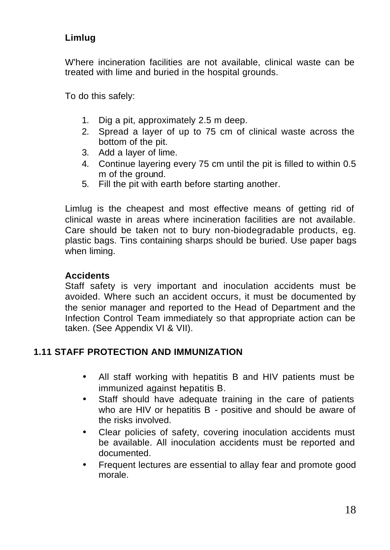## **Limlug**

W'here incineration facilities are not available, clinical waste can be treated with lime and buried in the hospital grounds.

To do this safely:

- 1. Dig a pit, approximately 2.5 m deep.
- 2. Spread a layer of up to 75 cm of clinical waste across the bottom of the pit.
- 3. Add a layer of lime.
- 4. Continue layering every 75 cm until the pit is filled to within 0.5 m of the ground.
- 5. Fill the pit with earth before starting another.

Limlug is the cheapest and most effective means of getting rid of clinical waste in areas where incineration facilities are not available. Care should be taken not to bury non-biodegradable products, e.g. plastic bags. Tins containing sharps should be buried. Use paper bags when liming.

#### **Accidents**

Staff safety is very important and inoculation accidents must be avoided. Where such an accident occurs, it must be documented by the senior manager and reported to the Head of Department and the Infection Control Team immediately so that appropriate action can be taken. (See Appendix VI & VII).

#### **1.11 STAFF PROTECTION AND IMMUNIZATION**

- All staff working with hepatitis B and HIV patients must be immunized against hepatitis B.
- Staff should have adequate training in the care of patients who are HIV or hepatitis B - positive and should be aware of the risks involved.
- Clear policies of safety, covering inoculation accidents must be available. All inoculation accidents must be reported and documented.
- Frequent lectures are essential to allay fear and promote good morale.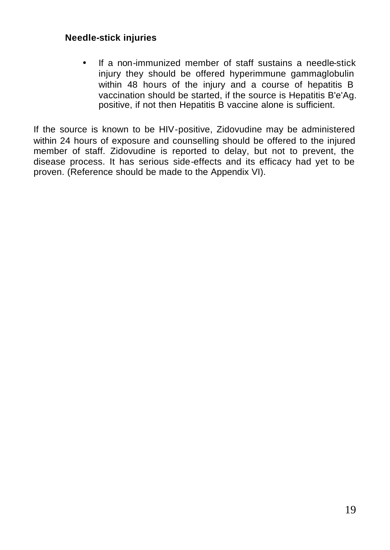#### **Needle-stick injuries**

• If a non-immunized member of staff sustains a needle-stick injury they should be offered hyperimmune gammaglobulin within 48 hours of the injury and a course of hepatitis B vaccination should be started, if the source is Hepatitis B'e'Ag. positive, if not then Hepatitis B vaccine alone is sufficient.

If the source is known to be HIV-positive, Zidovudine may be administered within 24 hours of exposure and counselling should be offered to the injured member of staff. Zidovudine is reported to delay, but not to prevent, the disease process. It has serious side-effects and its efficacy had yet to be proven. (Reference should be made to the Appendix VI).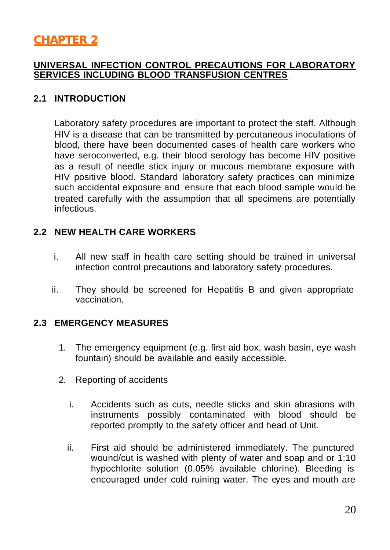# **CHAPTER 2**

#### **UNIVERSAL INFECTION CONTROL PRECAUTIONS FOR LABORATORY SERVICES INCLUDING BLOOD TRANSFUSION CENTRES**

#### **2.1 INTRODUCTION**

Laboratory safety procedures are important to protect the staff. Although HIV is a disease that can be transmitted by percutaneous inoculations of blood, there have been documented cases of health care workers who have seroconverted, e.g. their blood serology has become HIV positive as a result of needle stick injury or mucous membrane exposure with HIV positive blood. Standard laboratory safety practices can minimize such accidental exposure and ensure that each blood sample would be treated carefully with the assumption that all specimens are potentially infectious.

#### **2.2 NEW HEALTH CARE WORKERS**

- i. All new staff in health care setting should be trained in universal infection control precautions and laboratory safety procedures.
- ii. They should be screened for Hepatitis B and given appropriate vaccination.

#### **2.3 EMERGENCY MEASURES**

- 1. The emergency equipment (e.g. first aid box, wash basin, eye wash fountain) should be available and easily accessible.
- 2. Reporting of accidents
	- i. Accidents such as cuts, needle sticks and skin abrasions with instruments possibly contaminated with blood should be reported promptly to the safety officer and head of Unit.
	- ii. First aid should be administered immediately. The punctured wound/cut is washed with plenty of water and soap and or 1:10 hypochlorite solution (0.05% available chlorine). Bleeding is encouraged under cold ruining water. The eyes and mouth are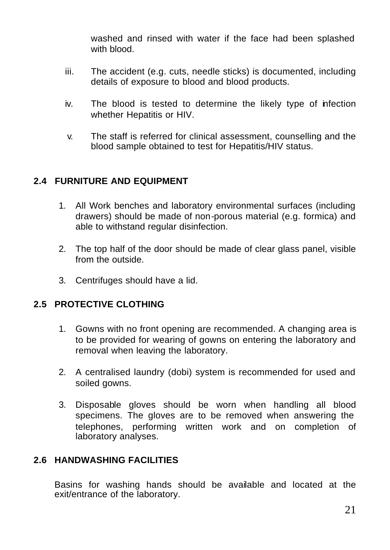washed and rinsed with water if the face had been splashed with blood.

- iii. The accident (e.g. cuts, needle sticks) is documented, including details of exposure to blood and blood products.
- iv. The blood is tested to determine the likely type of infection whether Hepatitis or HIV.
- v. The staff is referred for clinical assessment, counselling and the blood sample obtained to test for Hepatitis/HIV status.

#### **2.4 FURNITURE AND EQUIPMENT**

- 1. All Work benches and laboratory environmental surfaces (including drawers) should be made of non-porous material (e.g. formica) and able to withstand regular disinfection.
- 2. The top half of the door should be made of clear glass panel, visible from the outside.
- 3. Centrifuges should have a lid.

#### **2.5 PROTECTIVE CLOTHING**

- 1. Gowns with no front opening are recommended. A changing area is to be provided for wearing of gowns on entering the laboratory and removal when leaving the laboratory.
- 2. A centralised laundry (dobi) system is recommended for used and soiled gowns.
- 3. Disposable gloves should be worn when handling all blood specimens. The gloves are to be removed when answering the telephones, performing written work and on completion of laboratory analyses.

#### **2.6 HANDWASHING FACILITIES**

Basins for washing hands should be available and located at the exit/entrance of the laboratory.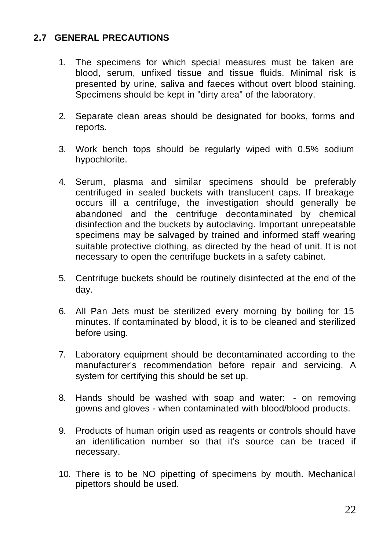#### **2.7 GENERAL PRECAUTIONS**

- 1. The specimens for which special measures must be taken are blood, serum, unfixed tissue and tissue fluids. Minimal risk is presented by urine, saliva and faeces without overt blood staining. Specimens should be kept in "dirty area" of the laboratory.
- 2. Separate clean areas should be designated for books, forms and reports.
- 3. Work bench tops should be regularly wiped with 0.5% sodium hypochlorite.
- 4. Serum, plasma and similar specimens should be preferably centrifuged in sealed buckets with translucent caps. If breakage occurs ill a centrifuge, the investigation should generally be abandoned and the centrifuge decontaminated by chemical disinfection and the buckets by autoclaving. Important unrepeatable specimens may be salvaged by trained and informed staff wearing suitable protective clothing, as directed by the head of unit. It is not necessary to open the centrifuge buckets in a safety cabinet.
- 5. Centrifuge buckets should be routinely disinfected at the end of the day.
- 6. All Pan Jets must be sterilized every morning by boiling for 15 minutes. If contaminated by blood, it is to be cleaned and sterilized before using.
- 7. Laboratory equipment should be decontaminated according to the manufacturer's recommendation before repair and servicing. A system for certifying this should be set up.
- 8. Hands should be washed with soap and water: on removing gowns and gloves - when contaminated with blood/blood products.
- 9. Products of human origin used as reagents or controls should have an identification number so that it's source can be traced if necessary.
- 10. There is to be NO pipetting of specimens by mouth. Mechanical pipettors should be used.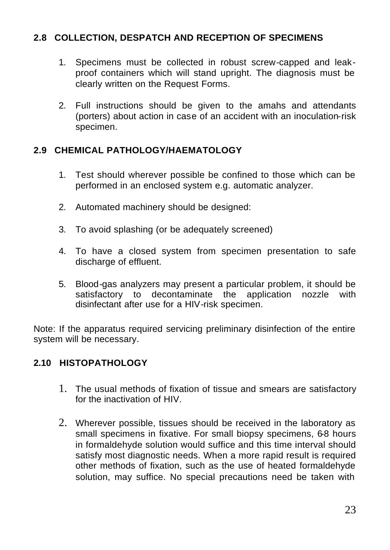#### **2.8 COLLECTION, DESPATCH AND RECEPTION OF SPECIMENS**

- 1. Specimens must be collected in robust screw-capped and leakproof containers which will stand upright. The diagnosis must be clearly written on the Request Forms.
- 2. Full instructions should be given to the amahs and attendants (porters) about action in case of an accident with an inoculation-risk specimen.

#### **2.9 CHEMICAL PATHOLOGY/HAEMATOLOGY**

- 1. Test should wherever possible be confined to those which can be performed in an enclosed system e.g. automatic analyzer.
- 2. Automated machinery should be designed:
- 3. To avoid splashing (or be adequately screened)
- 4. To have a closed system from specimen presentation to safe discharge of effluent.
- 5. Blood-gas analyzers may present a particular problem, it should be satisfactory to decontaminate the application nozzle with disinfectant after use for a HIV-risk specimen.

Note: If the apparatus required servicing preliminary disinfection of the entire system will be necessary.

#### **2.10 HISTOPATHOLOGY**

- 1. The usual methods of fixation of tissue and smears are satisfactory for the inactivation of HIV.
- 2. Wherever possible, tissues should be received in the laboratory as small specimens in fixative. For small biopsy specimens, 6-8 hours in formaldehyde solution would suffice and this time interval should satisfy most diagnostic needs. When a more rapid result is required other methods of fixation, such as the use of heated formaldehyde solution, may suffice. No special precautions need be taken with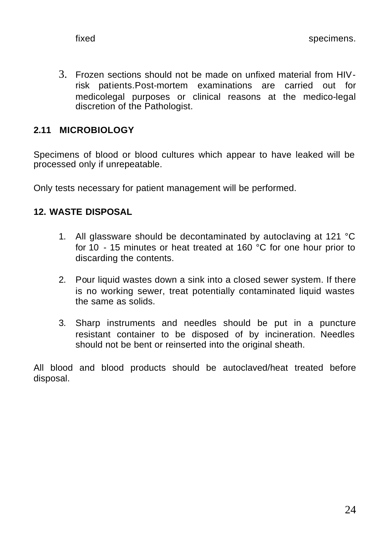3. Frozen sections should not be made on unfixed material from HIVrisk patients.Post-mortem examinations are carried out for medicolegal purposes or clinical reasons at the medico-legal discretion of the Pathologist.

### **2.11 MICROBIOLOGY**

Specimens of blood or blood cultures which appear to have leaked will be processed only if unrepeatable.

Only tests necessary for patient management will be performed.

#### **12. WASTE DISPOSAL**

- 1. All glassware should be decontaminated by autoclaving at 121 °C for 10 - 15 minutes or heat treated at 160 °C for one hour prior to discarding the contents.
- 2. Pour liquid wastes down a sink into a closed sewer system. If there is no working sewer, treat potentially contaminated liquid wastes the same as solids.
- 3. Sharp instruments and needles should be put in a puncture resistant container to be disposed of by incineration. Needles should not be bent or reinserted into the original sheath.

All blood and blood products should be autoclaved/heat treated before disposal.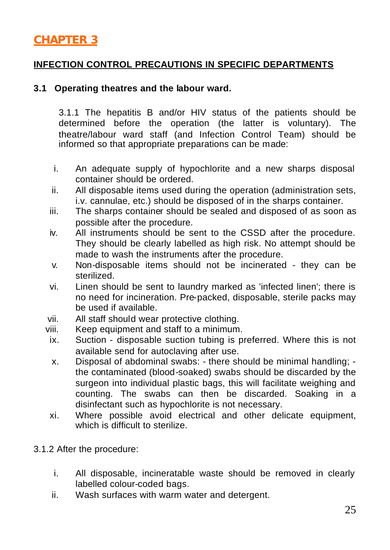# **CHAPTER 3**

### **INFECTION CONTROL PRECAUTIONS IN SPECIFIC DEPARTMENTS**

#### **3.1 Operating theatres and the labour ward.**

3.1.1 The hepatitis B and/or HIV status of the patients should be determined before the operation (the latter is voluntary). The theatre/labour ward staff (and Infection Control Team) should be informed so that appropriate preparations can be made:

- i. An adequate supply of hypochlorite and a new sharps disposal container should be ordered.
- ii. All disposable items used during the operation (administration sets, i.v. cannulae, etc.) should be disposed of in the sharps container.
- iii. The sharps container should be sealed and disposed of as soon as possible after the procedure.
- iv. All instruments should be sent to the CSSD after the procedure. They should be clearly labelled as high risk. No attempt should be made to wash the instruments after the procedure.
- v. Non-disposable items should not be incinerated they can be sterilized.
- vi. Linen should be sent to laundry marked as 'infected linen'; there is no need for incineration. Pre-packed, disposable, sterile packs may be used if available.
- vii. All staff should wear protective clothing.
- viii. Keep equipment and staff to a minimum.
- ix. Suction disposable suction tubing is preferred. Where this is not available send for autoclaving after use.
- x. Disposal of abdominal swabs: there should be minimal handling; the contaminated (blood-soaked) swabs should be discarded by the surgeon into individual plastic bags, this will facilitate weighing and counting. The swabs can then be discarded. Soaking in a disinfectant such as hypochlorite is not necessary.
- xi. Where possible avoid electrical and other delicate equipment, which is difficult to sterilize.
- 3.1.2 After the procedure:
	- i. All disposable, incineratable waste should be removed in clearly labelled colour-coded bags.
	- ii. Wash surfaces with warm water and detergent.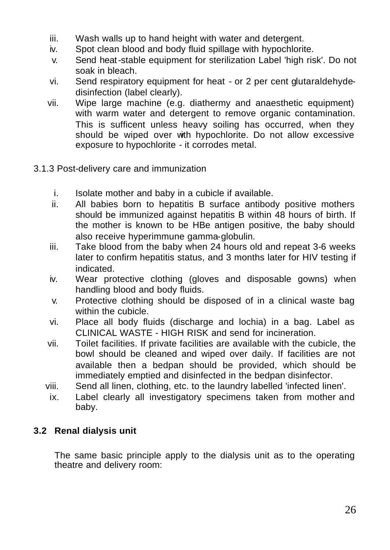- iii. Wash walls up to hand height with water and detergent.
- iv. Spot clean blood and body fluid spillage with hypochlorite.
- v. Send heat-stable equipment for sterilization Label 'high risk'. Do not soak in bleach.
- vi. Send respiratory equipment for heat or 2 per cent glutaraldehydedisinfection (label clearly).
- vii. Wipe large machine (e.g. diathermy and anaesthetic equipment) with warm water and detergent to remove organic contamination. This is sufficent unless heavy soiling has occurred, when they should be wiped over with hypochlorite. Do not allow excessive exposure to hypochlorite - it corrodes metal.
- 3.1.3 Post-delivery care and immunization
	- i. Isolate mother and baby in a cubicle if available.
	- ii. All babies born to hepatitis B surface antibody positive mothers should be immunized against hepatitis B within 48 hours of birth. If the mother is known to be HBe antigen positive, the baby should also receive hyperimmune gamma-globulin.
	- iii. Take blood from the baby when 24 hours old and repeat 3-6 weeks later to confirm hepatitis status, and 3 months later for HIV testing if indicated.
	- iv. Wear protective clothing (gloves and disposable gowns) when handling blood and body fluids.
	- v. Protective clothing should be disposed of in a clinical waste bag within the cubicle.
	- vi. Place all body fluids (discharge and lochia) in a bag. Label as CLINICAL WASTE - HIGH RISK and send for incineration.
	- vii. Toilet facilities. If private facilities are available with the cubicle, the bowl should be cleaned and wiped over daily. If facilities are not available then a bedpan should be provided, which should be immediately emptied and disinfected in the bedpan disinfector.
	- viii. Send all linen, clothing, etc. to the laundry labelled 'infected linen'.
	- ix. Label clearly all investigatory specimens taken from mother and baby.

#### **3.2 Renal dialysis unit**

The same basic principle apply to the dialysis unit as to the operating theatre and delivery room: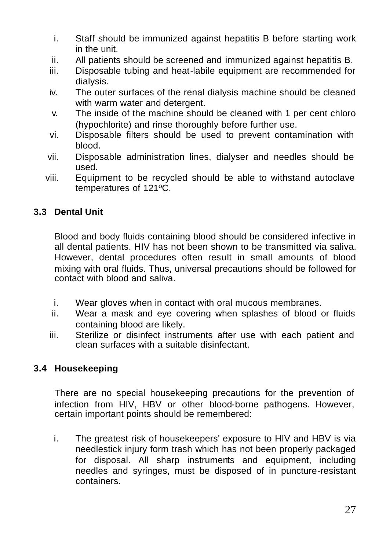- i. Staff should be immunized against hepatitis B before starting work in the unit.
- ii. All patients should be screened and immunized against hepatitis B.
- iii. Disposable tubing and heat-labile equipment are recommended for dialysis.
- iv. The outer surfaces of the renal dialysis machine should be cleaned with warm water and detergent.
- v. The inside of the machine should be cleaned with 1 per cent chloro (hypochlorite) and rinse thoroughly before further use.
- vi. Disposable filters should be used to prevent contamination with blood.
- vii. Disposable administration lines, dialyser and needles should be used.
- viii. Equipment to be recycled should be able to withstand autoclave temperatures of 121ºC.

## **3.3 Dental Unit**

Blood and body fluids containing blood should be considered infective in all dental patients. HIV has not been shown to be transmitted via saliva. However, dental procedures often result in small amounts of blood mixing with oral fluids. Thus, universal precautions should be followed for contact with blood and saliva.

- i. Wear gloves when in contact with oral mucous membranes.
- ii. Wear a mask and eye covering when splashes of blood or fluids containing blood are likely.
- iii. Sterilize or disinfect instruments after use with each patient and clean surfaces with a suitable disinfectant.

#### **3.4 Housekeeping**

There are no special housekeeping precautions for the prevention of infection from HIV, HBV or other blood-borne pathogens. However, certain important points should be remembered:

i. The greatest risk of housekeepers' exposure to HIV and HBV is via needlestick injury form trash which has not been properly packaged for disposal. All sharp instruments and equipment, including needles and syringes, must be disposed of in puncture-resistant containers.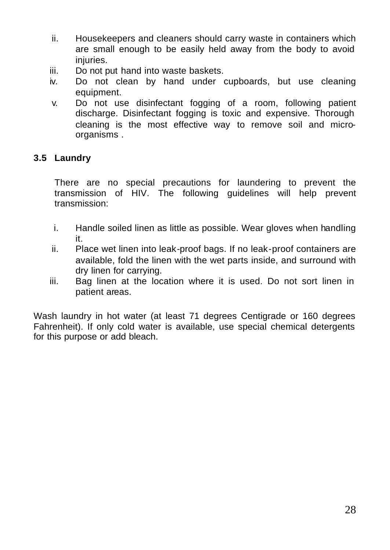- ii. Housekeepers and cleaners should carry waste in containers which are small enough to be easily held away from the body to avoid injuries.
- iii. Do not put hand into waste baskets.
- iv. Do not clean by hand under cupboards, but use cleaning equipment.
- v. Do not use disinfectant fogging of a room, following patient discharge. Disinfectant fogging is toxic and expensive. Thorough cleaning is the most effective way to remove soil and microorganisms .

#### **3.5 Laundry**

There are no special precautions for laundering to prevent the transmission of HIV. The following guidelines will help prevent transmission:

- i. Handle soiled linen as little as possible. Wear gloves when handling it.
- ii. Place wet linen into leak-proof bags. If no leak-proof containers are available, fold the linen with the wet parts inside, and surround with dry linen for carrying.
- iii. Bag linen at the location where it is used. Do not sort linen in patient areas.

Wash laundry in hot water (at least 71 degrees Centigrade or 160 degrees Fahrenheit). If only cold water is available, use special chemical detergents for this purpose or add bleach.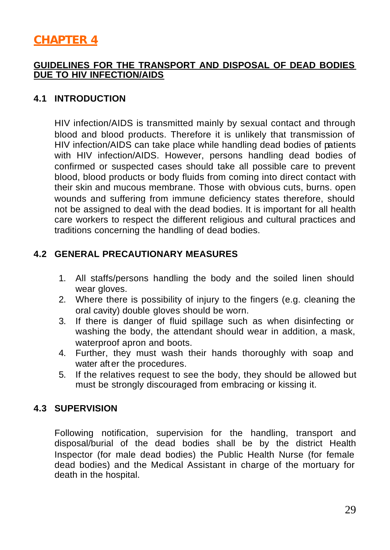## **CHAPTER 4**

#### **GUIDELINES FOR THE TRANSPORT AND DISPOSAL OF DEAD BODIES DUE TO HIV INFECTION/AIDS**

#### **4.1 INTRODUCTION**

HIV infection/AIDS is transmitted mainly by sexual contact and through blood and blood products. Therefore it is unlikely that transmission of HIV infection/AIDS can take place while handling dead bodies of patients with HIV infection/AIDS. However, persons handling dead bodies of confirmed or suspected cases should take all possible care to prevent blood, blood products or body fluids from coming into direct contact with their skin and mucous membrane. Those with obvious cuts, burns. open wounds and suffering from immune deficiency states therefore, should not be assigned to deal with the dead bodies. It is important for all health care workers to respect the different religious and cultural practices and traditions concerning the handling of dead bodies.

#### **4.2 GENERAL PRECAUTIONARY MEASURES**

- 1. All staffs/persons handling the body and the soiled linen should wear gloves.
- 2. Where there is possibility of injury to the fingers (e.g. cleaning the oral cavity) double gloves should be worn.
- 3. If there is danger of fluid spillage such as when disinfecting or washing the body, the attendant should wear in addition, a mask, waterproof apron and boots.
- 4. Further, they must wash their hands thoroughly with soap and water aft er the procedures.
- 5. If the relatives request to see the body, they should be allowed but must be strongly discouraged from embracing or kissing it.

#### **4.3 SUPERVISION**

Following notification, supervision for the handling, transport and disposal/burial of the dead bodies shall be by the district Health Inspector (for male dead bodies) the Public Health Nurse (for female dead bodies) and the Medical Assistant in charge of the mortuary for death in the hospital.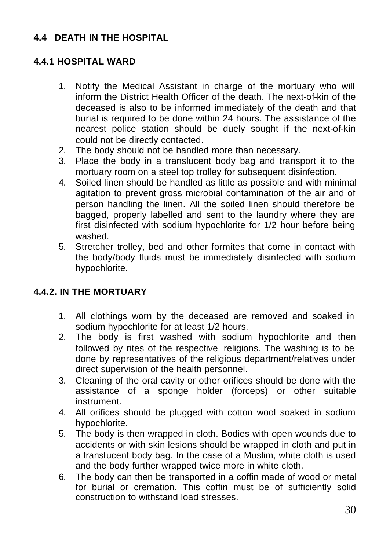## **4.4 DEATH IN THE HOSPITAL**

#### **4.4.1 HOSPITAL WARD**

- 1. Notify the Medical Assistant in charge of the mortuary who will inform the District Health Officer of the death. The next-of-kin of the deceased is also to be informed immediately of the death and that burial is required to be done within 24 hours. The assistance of the nearest police station should be duely sought if the next-of-kin could not be directly contacted.
- 2. The body should not be handled more than necessary.
- 3. Place the body in a translucent body bag and transport it to the mortuary room on a steel top trolley for subsequent disinfection.
- 4. Soiled linen should be handled as little as possible and with minimal agitation to prevent gross microbial contamination of the air and of person handling the linen. All the soiled linen should therefore be bagged, properly labelled and sent to the laundry where they are first disinfected with sodium hypochlorite for 1/2 hour before being washed.
- 5. Stretcher trolley, bed and other formites that come in contact with the body/body fluids must be immediately disinfected with sodium hypochlorite.

#### **4.4.2. IN THE MORTUARY**

- 1. All clothings worn by the deceased are removed and soaked in sodium hypochlorite for at least 1/2 hours.
- 2. The body is first washed with sodium hypochlorite and then followed by rites of the respective religions. The washing is to be done by representatives of the religious department/relatives under direct supervision of the health personnel.
- 3. Cleaning of the oral cavity or other orifices should be done with the assistance of a sponge holder (forceps) or other suitable instrument.
- 4. All orifices should be plugged with cotton wool soaked in sodium hypochlorite.
- 5. The body is then wrapped in cloth. Bodies with open wounds due to accidents or with skin lesions should be wrapped in cloth and put in a translucent body bag. In the case of a Muslim, white cloth is used and the body further wrapped twice more in white cloth.
- 6. The body can then be transported in a coffin made of wood or metal for burial or cremation. This coffin must be of sufficiently solid construction to withstand load stresses.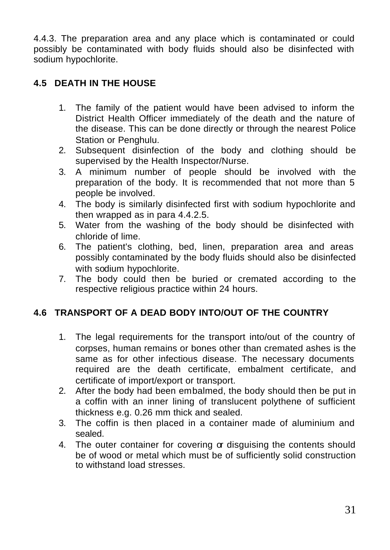4.4.3. The preparation area and any place which is contaminated or could possibly be contaminated with body fluids should also be disinfected with sodium hypochlorite.

## **4.5 DEATH IN THE HOUSE**

- 1. The family of the patient would have been advised to inform the District Health Officer immediately of the death and the nature of the disease. This can be done directly or through the nearest Police Station or Penghulu.
- 2. Subsequent disinfection of the body and clothing should be supervised by the Health Inspector/Nurse.
- 3. A minimum number of people should be involved with the preparation of the body. It is recommended that not more than 5 people be involved.
- 4. The body is similarly disinfected first with sodium hypochlorite and then wrapped as in para 4.4.2.5.
- 5. Water from the washing of the body should be disinfected with chloride of lime.
- 6. The patient's clothing, bed, linen, preparation area and areas possibly contaminated by the body fluids should also be disinfected with sodium hypochlorite.
- 7. The body could then be buried or cremated according to the respective religious practice within 24 hours.

## **4.6 TRANSPORT OF A DEAD BODY INTO/OUT OF THE COUNTRY**

- 1. The legal requirements for the transport into/out of the country of corpses, human remains or bones other than cremated ashes is the same as for other infectious disease. The necessary documents required are the death certificate, embalment certificate, and certificate of import/export or transport.
- 2. After the body had been embalmed, the body should then be put in a coffin with an inner lining of translucent polythene of sufficient thickness e.g. 0.26 mm thick and sealed.
- 3. The coffin is then placed in a container made of aluminium and sealed.
- 4. The outer container for covering or disguising the contents should be of wood or metal which must be of sufficiently solid construction to withstand load stresses.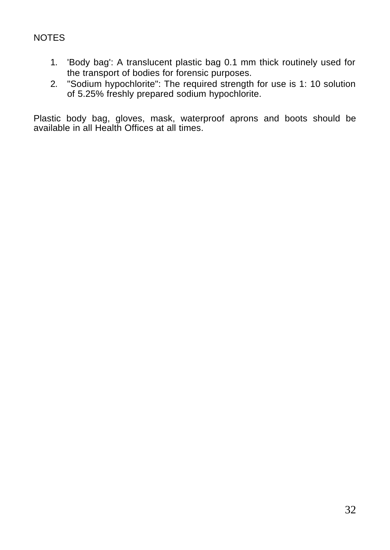## NOTES

- 1. 'Body bag': A translucent plastic bag 0.1 mm thick routinely used for the transport of bodies for forensic purposes.
- 2. "Sodium hypochlorite": The required strength for use is 1: 10 solution of 5.25% freshly prepared sodium hypochlorite.

Plastic body bag, gloves, mask, waterproof aprons and boots should be available in all Health Offices at all times.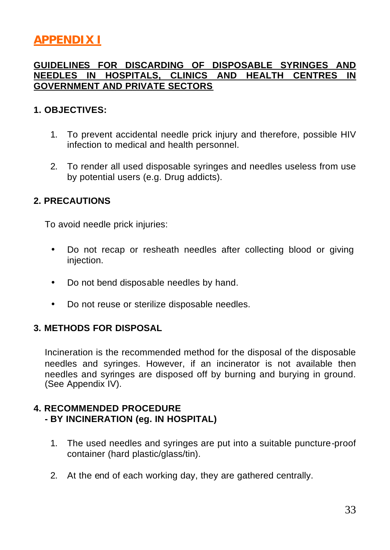# **APPENDIX I**

#### **GUIDELINES FOR DISCARDING OF DISPOSABLE SYRINGES AND NEEDLES IN HOSPITALS, CLINICS AND HEALTH CENTRES IN GOVERNMENT AND PRIVATE SECTORS**

#### **1. OBJECTIVES:**

- 1. To prevent accidental needle prick injury and therefore, possible HIV infection to medical and health personnel.
- 2. To render all used disposable syringes and needles useless from use by potential users (e.g. Drug addicts).

#### **2. PRECAUTIONS**

To avoid needle prick injuries:

- Do not recap or resheath needles after collecting blood or giving injection.
- Do not bend disposable needles by hand.
- Do not reuse or sterilize disposable needles.

#### **3. METHODS FOR DISPOSAL**

Incineration is the recommended method for the disposal of the disposable needles and syringes. However, if an incinerator is not available then needles and syringes are disposed off by burning and burying in ground. (See Appendix IV).

#### **4. RECOMMENDED PROCEDURE - BY INCINERATION (eg. IN HOSPITAL)**

- 1. The used needles and syringes are put into a suitable puncture-proof container (hard plastic/glass/tin).
- 2. At the end of each working day, they are gathered centrally.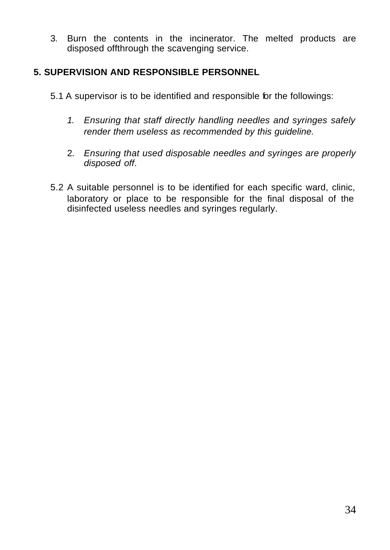3. Burn the contents in the incinerator. The melted products are disposed offthrough the scavenging service.

#### **5. SUPERVISION AND RESPONSIBLE PERSONNEL**

- 5.1 A supervisor is to be identified and responsible for the followings:
	- *1. Ensuring that staff directly handling needles and syringes safely render them useless as recommended by this guideline.*
	- 2. *Ensuring that used disposable needles and syringes are properly disposed off*.
- 5.2 A suitable personnel is to be identified for each specific ward, clinic, laboratory or place to be responsible for the final disposal of the disinfected useless needles and syringes regularly.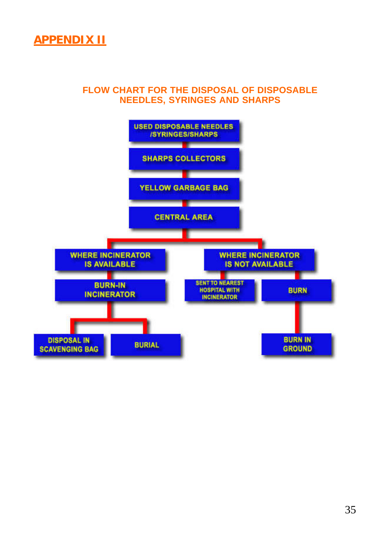

#### **FLOW CHART FOR THE DISPOSAL OF DISPOSABLE NEEDLES, SYRINGES AND SHARPS**

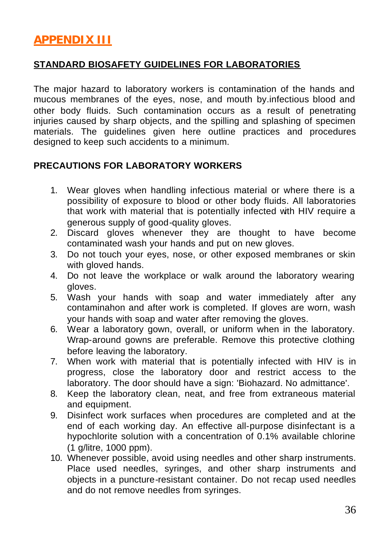# **APPENDIX III**

#### **STANDARD BIOSAFETY GUIDELINES FOR LABORATORIES**

The major hazard to laboratory workers is contamination of the hands and mucous membranes of the eyes, nose, and mouth by.infectious blood and other body fluids. Such contamination occurs as a result of penetrating injuries caused by sharp objects, and the spilling and splashing of specimen materials. The guidelines given here outline practices and procedures designed to keep such accidents to a minimum.

#### **PRECAUTIONS FOR LABORATORY WORKERS**

- 1. Wear gloves when handling infectious material or where there is a possibility of exposure to blood or other body fluids. All laboratories that work with material that is potentially infected with HIV require a generous supply of good-quality gloves.
- 2. Discard gloves whenever they are thought to have become contaminated wash your hands and put on new gloves.
- 3. Do not touch your eyes, nose, or other exposed membranes or skin with gloved hands.
- 4. Do not leave the workplace or walk around the laboratory wearing gloves.
- 5. Wash your hands with soap and water immediately after any contaminahon and after work is completed. If gloves are worn, wash your hands with soap and water after removing the gloves.
- 6. Wear a laboratory gown, overall, or uniform when in the laboratory. Wrap-around gowns are preferable. Remove this protective clothing before leaving the laboratory.
- 7. When work with material that is potentially infected with HIV is in progress, close the laboratory door and restrict access to the laboratory. The door should have a sign: 'Biohazard. No admittance'.
- 8. Keep the laboratory clean, neat, and free from extraneous material and equipment.
- 9. Disinfect work surfaces when procedures are completed and at the end of each working day. An effective all-purpose disinfectant is a hypochlorite solution with a concentration of 0.1% available chlorine (1 g/litre, 1000 ppm).
- 10. Whenever possible, avoid using needles and other sharp instruments. Place used needles, syringes, and other sharp instruments and objects in a puncture-resistant container. Do not recap used needles and do not remove needles from syringes.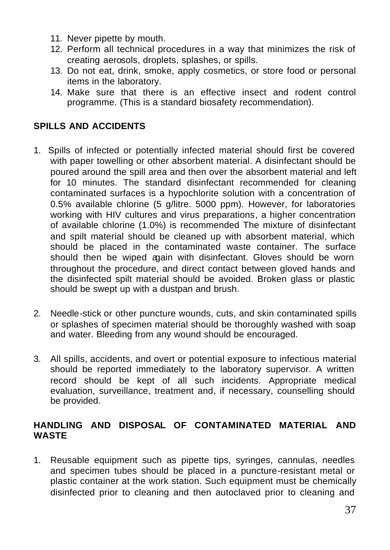- 11. Never pipette by mouth.
- 12. Perform all technical procedures in a way that minimizes the risk of creating aerosols, droplets, splashes, or spills.
- 13. Do not eat, drink, smoke, apply cosmetics, or store food or personal items in the laboratory.
- 14. Make sure that there is an effective insect and rodent control programme. (This is a standard biosafety recommendation).

## **SPILLS AND ACCIDENTS**

- 1. Spills of infected or potentially infected material should first be covered with paper towelling or other absorbent material. A disinfectant should be poured around the spill area and then over the absorbent material and left for 10 minutes. The standard disinfectant recommended for cleaning contaminated surfaces is a hypochlorite solution with a concentration of 0.5% available chlorine (5 g/litre. 5000 ppm). However, for laboratories working with HIV cultures and virus preparations, a higher concentration of available chlorine (1.0%) is recommended The mixture of disinfectant and spilt material should be cleaned up with absorbent material, which should be placed in the contaminated waste container. The surface should then be wiped again with disinfectant. Gloves should be worn throughout the procedure, and direct contact between gloved hands and the disinfected spilt material should be avoided. Broken glass or plastic should be swept up with a dustpan and brush.
- 2. Needle-stick or other puncture wounds, cuts, and skin contaminated spills or splashes of specimen material should be thoroughly washed with soap and water. Bleeding from any wound should be encouraged.
- 3. All spills, accidents, and overt or potential exposure to infectious material should be reported immediately to the laboratory supervisor. A written record should be kept of all such incidents. Appropriate medical evaluation, surveillance, treatment and, if necessary, counselling should be provided.

#### **HANDLING AND DISPOSAL OF CONTAMINATED MATERIAL AND WASTE**

1. Reusable equipment such as pipette tips, syringes, cannulas, needles and specimen tubes should be placed in a puncture-resistant metal or plastic container at the work station. Such equipment must be chemically disinfected prior to cleaning and then autoclaved prior to cleaning and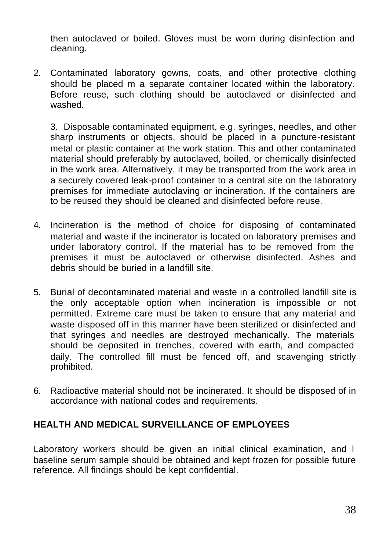then autoclaved or boiled. Gloves must be worn during disinfection and cleaning.

2. Contaminated laboratory gowns, coats, and other protective clothing should be placed m a separate container located within the laboratory. Before reuse, such clothing should be autoclaved or disinfected and washed.

3. Disposable contaminated equipment, e.g. syringes, needles, and other sharp instruments or objects, should be placed in a puncture-resistant metal or plastic container at the work station. This and other contaminated material should preferably by autoclaved, boiled, or chemically disinfected in the work area. Alternatively, it may be transported from the work area in a securely covered leak-proof container to a central site on the laboratory premises for immediate autoclaving or incineration. If the containers are to be reused they should be cleaned and disinfected before reuse.

- 4. Incineration is the method of choice for disposing of contaminated material and waste if the incinerator is located on laboratory premises and under laboratory control. If the material has to be removed from the premises it must be autoclaved or otherwise disinfected. Ashes and debris should be buried in a landfill site.
- 5. Burial of decontaminated material and waste in a controlled landfill site is the only acceptable option when incineration is impossible or not permitted. Extreme care must be taken to ensure that any material and waste disposed off in this manner have been sterilized or disinfected and that syringes and needles are destroyed mechanically. The materials should be deposited in trenches, covered with earth, and compacted daily. The controlled fill must be fenced off, and scavenging strictly prohibited.
- 6. Radioactive material should not be incinerated. It should be disposed of in accordance with national codes and requirements.

#### **HEALTH AND MEDICAL SURVEILLANCE OF EMPLOYEES**

Laboratory workers should be given an initial clinical examination, and I baseline serum sample should be obtained and kept frozen for possible future reference. All findings should be kept confidential.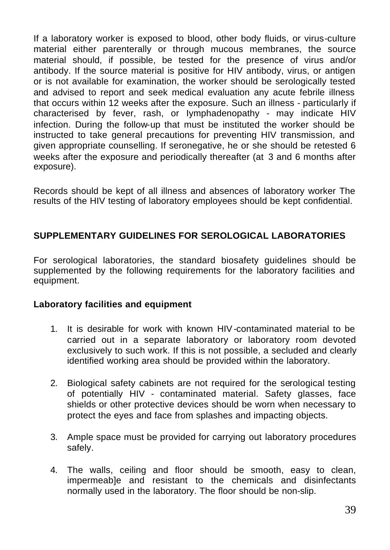If a laboratory worker is exposed to blood, other body fluids, or virus-culture material either parenterally or through mucous membranes, the source material should, if possible, be tested for the presence of virus and/or antibody. If the source material is positive for HIV antibody, virus, or antigen or is not available for examination, the worker should be serologically tested and advised to report and seek medical evaluation any acute febrile illness that occurs within 12 weeks after the exposure. Such an illness - particularly if characterised by fever, rash, or Iymphadenopathy - may indicate HIV infection. During the follow-up that must be instituted the worker should be instructed to take general precautions for preventing HIV transmission, and given appropriate counselling. If seronegative, he or she should be retested 6 weeks after the exposure and periodically thereafter (at 3 and 6 months after exposure).

Records should be kept of all illness and absences of laboratory worker The results of the HIV testing of laboratory employees should be kept confidential.

#### **SUPPLEMENTARY GUIDELINES FOR SEROLOGICAL LABORATORIES**

For serological laboratories, the standard biosafety guidelines should be supplemented by the following requirements for the laboratory facilities and equipment.

#### **Laboratory facilities and equipment**

- 1. It is desirable for work with known HIV-contaminated material to be carried out in a separate laboratory or laboratory room devoted exclusively to such work. If this is not possible, a secluded and clearly identified working area should be provided within the laboratory.
- 2. Biological safety cabinets are not required for the serological testing of potentially HIV - contaminated material. Safety glasses, face shields or other protective devices should be worn when necessary to protect the eyes and face from splashes and impacting objects.
- 3. Ample space must be provided for carrying out laboratory procedures safely.
- 4. The walls, ceiling and floor should be smooth, easy to clean, impermeab]e and resistant to the chemicals and disinfectants normally used in the laboratory. The floor should be non-slip.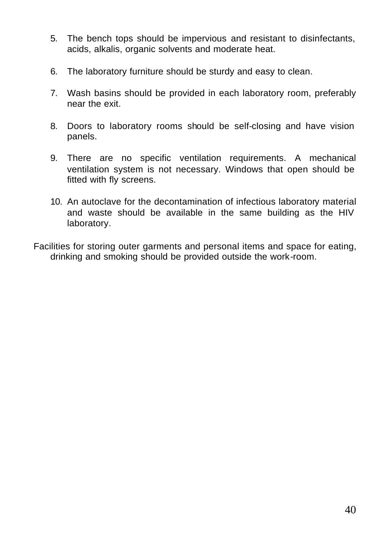- 5. The bench tops should be impervious and resistant to disinfectants, acids, alkalis, organic solvents and moderate heat.
- 6. The laboratory furniture should be sturdy and easy to clean.
- 7. Wash basins should be provided in each laboratory room, preferably near the exit.
- 8. Doors to laboratory rooms should be self-closing and have vision panels.
- 9. There are no specific ventilation requirements. A mechanical ventilation system is not necessary. Windows that open should be fitted with fly screens.
- 10. An autoclave for the decontamination of infectious laboratory material and waste should be available in the same building as the HIV laboratory.
- Facilities for storing outer garments and personal items and space for eating, drinking and smoking should be provided outside the work-room.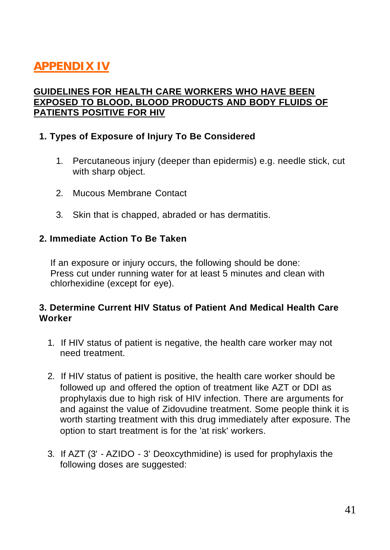# **APPENDIX IV**

#### **GUIDELINES FOR HEALTH CARE WORKERS WHO HAVE BEEN EXPOSED TO BLOOD, BLOOD PRODUCTS AND BODY FLUIDS OF PATIENTS POSITIVE FOR HIV**

#### **1. Types of Exposure of Injury To Be Considered**

- 1. Percutaneous injury (deeper than epidermis) e.g. needle stick, cut with sharp object.
- 2. Mucous Membrane Contact
- 3. Skin that is chapped, abraded or has dermatitis.

#### **2. Immediate Action To Be Taken**

If an exposure or injury occurs, the following should be done: Press cut under running water for at least 5 minutes and clean with chlorhexidine (except for eye).

#### **3. Determine Current HIV Status of Patient And Medical Health Care Worker**

- 1. If HIV status of patient is negative, the health care worker may not need treatment.
- 2. If HIV status of patient is positive, the health care worker should be followed up and offered the option of treatment like AZT or DDI as prophylaxis due to high risk of HIV infection. There are arguments for and against the value of Zidovudine treatment. Some people think it is worth starting treatment with this drug immediately after exposure. The option to start treatment is for the 'at risk' workers.
- 3. If AZT (3' AZIDO 3' Deoxcythmidine) is used for prophylaxis the following doses are suggested: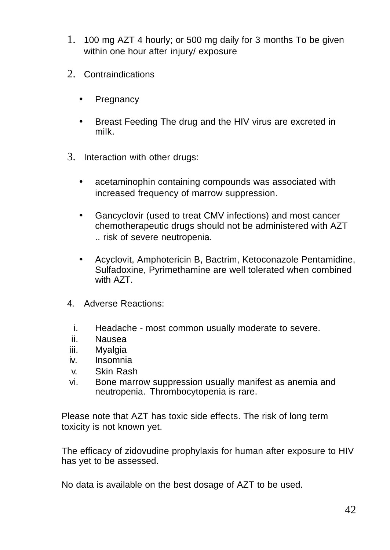- 1. 100 mg AZT 4 hourly; or 500 mg daily for 3 months To be given within one hour after injury/ exposure
- 2. Contraindications
	- Pregnancy
	- Breast Feeding The drug and the HIV virus are excreted in milk.
- 3. Interaction with other drugs:
	- acetaminophin containing compounds was associated with increased frequency of marrow suppression.
	- Gancyclovir (used to treat CMV infections) and most cancer chemotherapeutic drugs should not be administered with AZT .. risk of severe neutropenia.
	- Acyclovit, Amphotericin B, Bactrim, Ketoconazole Pentamidine, Sulfadoxine, Pyrimethamine are well tolerated when combined with AZT.
- 4. Adverse Reactions:
	- i. Headache most common usually moderate to severe.
- ii. Nausea
- iii. Myalgia
- iv. Insomnia
- v. Skin Rash
- vi. Bone marrow suppression usually manifest as anemia and neutropenia. Thrombocytopenia is rare.

Please note that AZT has toxic side effects. The risk of long term toxicity is not known yet.

The efficacy of zidovudine prophylaxis for human after exposure to HIV has yet to be assessed.

No data is available on the best dosage of AZT to be used.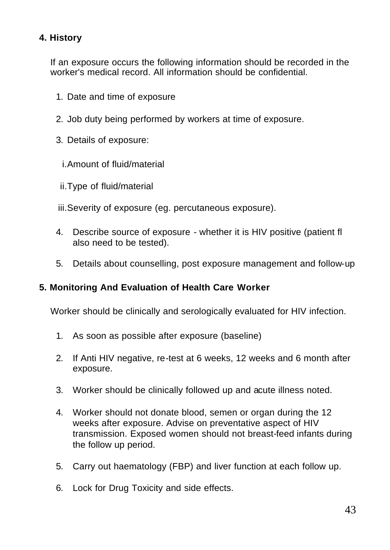## **4. History**

If an exposure occurs the following information should be recorded in the worker's medical record. All information should be confidential.

- 1. Date and time of exposure
- 2. Job duty being performed by workers at time of exposure.
- 3. Details of exposure:
	- i.Amount of fluid/material
- ii.Type of fluid/material

iii.Severity of exposure (eg. percutaneous exposure).

- 4. Describe source of exposure whether it is HIV positive (patient fl also need to be tested).
- 5. Details about counselling, post exposure management and follow-up

#### **5. Monitoring And Evaluation of Health Care Worker**

Worker should be clinically and serologically evaluated for HIV infection.

- 1. As soon as possible after exposure (baseline)
- 2. If Anti HIV negative, re-test at 6 weeks, 12 weeks and 6 month after exposure.
- 3. Worker should be clinically followed up and acute illness noted.
- 4. Worker should not donate blood, semen or organ during the 12 weeks after exposure. Advise on preventative aspect of HIV transmission. Exposed women should not breast-feed infants during the follow up period.
- 5. Carry out haematology (FBP) and liver function at each follow up.
- 6. Lock for Drug Toxicity and side effects.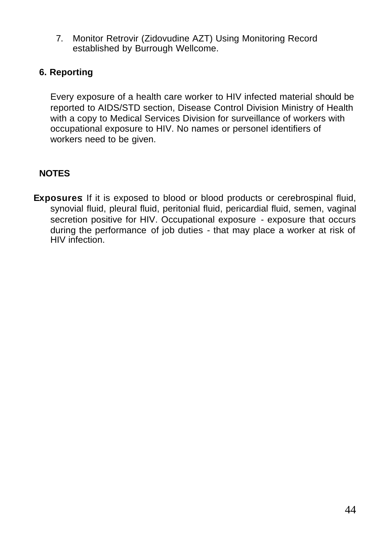7. Monitor Retrovir (Zidovudine AZT) Using Monitoring Record established by Burrough Wellcome.

#### **6. Reporting**

Every exposure of a health care worker to HIV infected material should be reported to AIDS/STD section, Disease Control Division Ministry of Health with a copy to Medical Services Division for surveillance of workers with occupational exposure to HIV. No names or personel identifiers of workers need to be given.

#### **NOTES**

**Exposures**: If it is exposed to blood or blood products or cerebrospinal fluid, synovial fluid, pleural fluid, peritonial fluid, pericardial fluid, semen, vaginal secretion positive for HIV. Occupational exposure - exposure that occurs during the performance of job duties - that may place a worker at risk of HIV infection.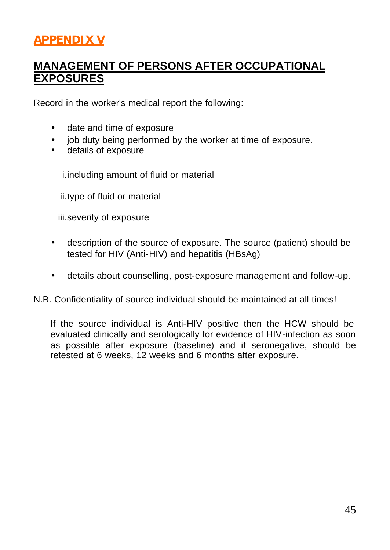# **APPENDIX V**

## **MANAGEMENT OF PERSONS AFTER OCCUPATIONAL EXPOSURES**

Record in the worker's medical report the following:

- date and time of exposure
- job duty being performed by the worker at time of exposure.
- details of exposure

i.including amount of fluid or material

ii.type of fluid or material

iii.severity of exposure

- description of the source of exposure. The source (patient) should be tested for HIV (Anti-HIV) and hepatitis (HBsAg)
- details about counselling, post-exposure management and follow-up.

N.B. Confidentiality of source individual should be maintained at all times!

If the source individual is Anti-HIV positive then the HCW should be evaluated clinically and serologically for evidence of HIV-infection as soon as possible after exposure (baseline) and if seronegative, should be retested at 6 weeks, 12 weeks and 6 months after exposure.